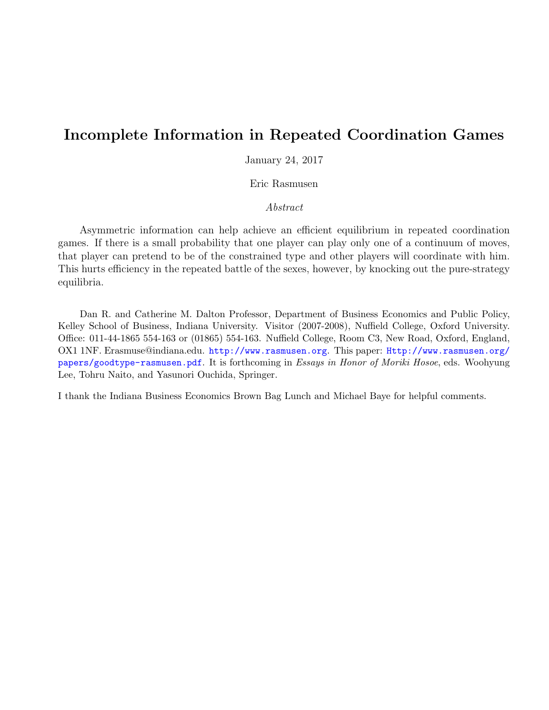# Incomplete Information in Repeated Coordination Games

January 24, 2017

Eric Rasmusen

## Abstract

Asymmetric information can help achieve an efficient equilibrium in repeated coordination games. If there is a small probability that one player can play only one of a continuum of moves, that player can pretend to be of the constrained type and other players will coordinate with him. This hurts efficiency in the repeated battle of the sexes, however, by knocking out the pure-strategy equilibria.

Dan R. and Catherine M. Dalton Professor, Department of Business Economics and Public Policy, Kelley School of Business, Indiana University. Visitor (2007-2008), Nuffield College, Oxford University. Office: 011-44-1865 554-163 or (01865) 554-163. Nuffield College, Room C3, New Road, Oxford, England, OX1 1NF. Erasmuse@indiana.edu. <http://www.rasmusen.org>. This paper: [Http://www.rasmusen.org/](Http://www.rasmusen.org/papers/goodtype-rasmusen.pdf) [papers/goodtype-rasmusen.pdf](Http://www.rasmusen.org/papers/goodtype-rasmusen.pdf). It is forthcoming in Essays in Honor of Moriki Hosoe, eds. Woohyung Lee, Tohru Naito, and Yasunori Ouchida, Springer.

I thank the Indiana Business Economics Brown Bag Lunch and Michael Baye for helpful comments.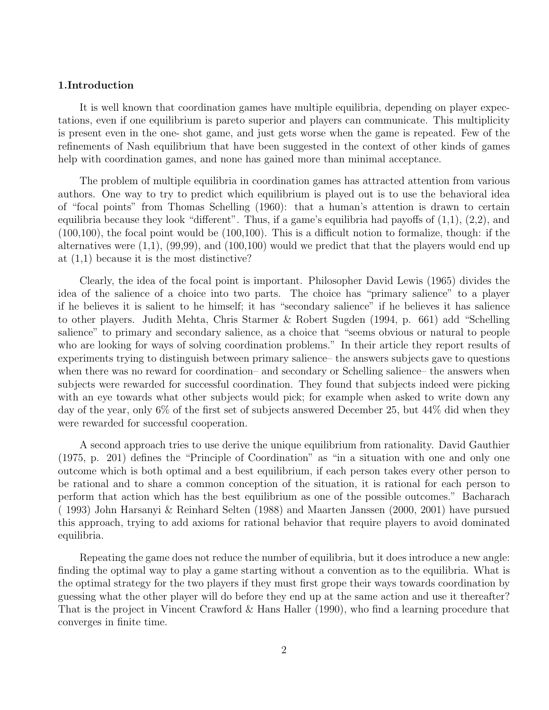## 1.Introduction

It is well known that coordination games have multiple equilibria, depending on player expectations, even if one equilibrium is pareto superior and players can communicate. This multiplicity is present even in the one- shot game, and just gets worse when the game is repeated. Few of the refinements of Nash equilibrium that have been suggested in the context of other kinds of games help with coordination games, and none has gained more than minimal acceptance.

The problem of multiple equilibria in coordination games has attracted attention from various authors. One way to try to predict which equilibrium is played out is to use the behavioral idea of "focal points" from Thomas Schelling (1960): that a human's attention is drawn to certain equilibria because they look "different". Thus, if a game's equilibria had payoffs of (1,1), (2,2), and (100,100), the focal point would be (100,100). This is a difficult notion to formalize, though: if the alternatives were  $(1,1)$ ,  $(99,99)$ , and  $(100,100)$  would we predict that that the players would end up at (1,1) because it is the most distinctive?

Clearly, the idea of the focal point is important. Philosopher David Lewis (1965) divides the idea of the salience of a choice into two parts. The choice has "primary salience" to a player if he believes it is salient to he himself; it has "secondary salience" if he believes it has salience to other players. Judith Mehta, Chris Starmer & Robert Sugden (1994, p. 661) add "Schelling salience" to primary and secondary salience, as a choice that "seems obvious or natural to people who are looking for ways of solving coordination problems." In their article they report results of experiments trying to distinguish between primary salience– the answers subjects gave to questions when there was no reward for coordination– and secondary or Schelling salience– the answers when subjects were rewarded for successful coordination. They found that subjects indeed were picking with an eye towards what other subjects would pick; for example when asked to write down any day of the year, only 6% of the first set of subjects answered December 25, but 44% did when they were rewarded for successful cooperation.

A second approach tries to use derive the unique equilibrium from rationality. David Gauthier (1975, p. 201) defines the "Principle of Coordination" as "in a situation with one and only one outcome which is both optimal and a best equilibrium, if each person takes every other person to be rational and to share a common conception of the situation, it is rational for each person to perform that action which has the best equilibrium as one of the possible outcomes." Bacharach ( 1993) John Harsanyi & Reinhard Selten (1988) and Maarten Janssen (2000, 2001) have pursued this approach, trying to add axioms for rational behavior that require players to avoid dominated equilibria.

Repeating the game does not reduce the number of equilibria, but it does introduce a new angle: finding the optimal way to play a game starting without a convention as to the equilibria. What is the optimal strategy for the two players if they must first grope their ways towards coordination by guessing what the other player will do before they end up at the same action and use it thereafter? That is the project in Vincent Crawford & Hans Haller (1990), who find a learning procedure that converges in finite time.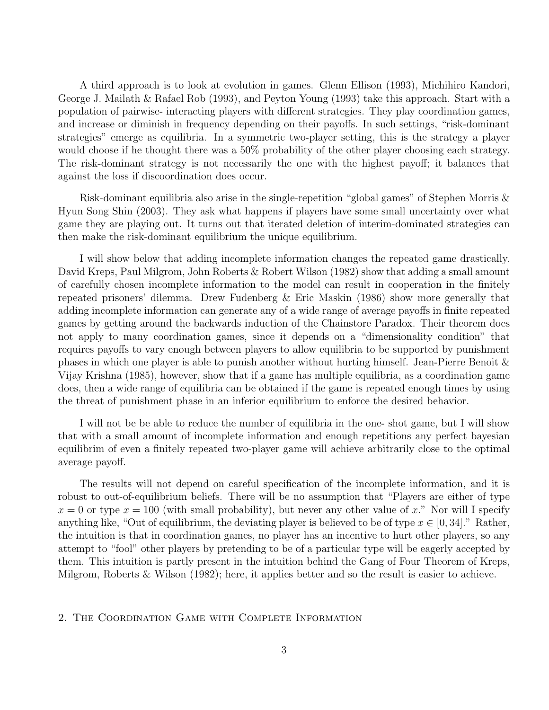A third approach is to look at evolution in games. Glenn Ellison (1993), Michihiro Kandori, George J. Mailath & Rafael Rob (1993), and Peyton Young (1993) take this approach. Start with a population of pairwise- interacting players with different strategies. They play coordination games, and increase or diminish in frequency depending on their payoffs. In such settings, "risk-dominant strategies" emerge as equilibria. In a symmetric two-player setting, this is the strategy a player would choose if he thought there was a 50% probability of the other player choosing each strategy. The risk-dominant strategy is not necessarily the one with the highest payoff; it balances that against the loss if discoordination does occur.

Risk-dominant equilibria also arise in the single-repetition "global games" of Stephen Morris & Hyun Song Shin (2003). They ask what happens if players have some small uncertainty over what game they are playing out. It turns out that iterated deletion of interim-dominated strategies can then make the risk-dominant equilibrium the unique equilibrium.

I will show below that adding incomplete information changes the repeated game drastically. David Kreps, Paul Milgrom, John Roberts & Robert Wilson (1982) show that adding a small amount of carefully chosen incomplete information to the model can result in cooperation in the finitely repeated prisoners' dilemma. Drew Fudenberg & Eric Maskin (1986) show more generally that adding incomplete information can generate any of a wide range of average payoffs in finite repeated games by getting around the backwards induction of the Chainstore Paradox. Their theorem does not apply to many coordination games, since it depends on a "dimensionality condition" that requires payoffs to vary enough between players to allow equilibria to be supported by punishment phases in which one player is able to punish another without hurting himself. Jean-Pierre Benoit & Vijay Krishna (1985), however, show that if a game has multiple equilibria, as a coordination game does, then a wide range of equilibria can be obtained if the game is repeated enough times by using the threat of punishment phase in an inferior equilibrium to enforce the desired behavior.

I will not be be able to reduce the number of equilibria in the one- shot game, but I will show that with a small amount of incomplete information and enough repetitions any perfect bayesian equilibrim of even a finitely repeated two-player game will achieve arbitrarily close to the optimal average payoff.

The results will not depend on careful specification of the incomplete information, and it is robust to out-of-equilibrium beliefs. There will be no assumption that "Players are either of type  $x = 0$  or type  $x = 100$  (with small probability), but never any other value of x." Nor will I specify anything like, "Out of equilibrium, the deviating player is believed to be of type  $x \in [0, 34]$ ." Rather, the intuition is that in coordination games, no player has an incentive to hurt other players, so any attempt to "fool" other players by pretending to be of a particular type will be eagerly accepted by them. This intuition is partly present in the intuition behind the Gang of Four Theorem of Kreps, Milgrom, Roberts & Wilson (1982); here, it applies better and so the result is easier to achieve.

## 2. The Coordination Game with Complete Information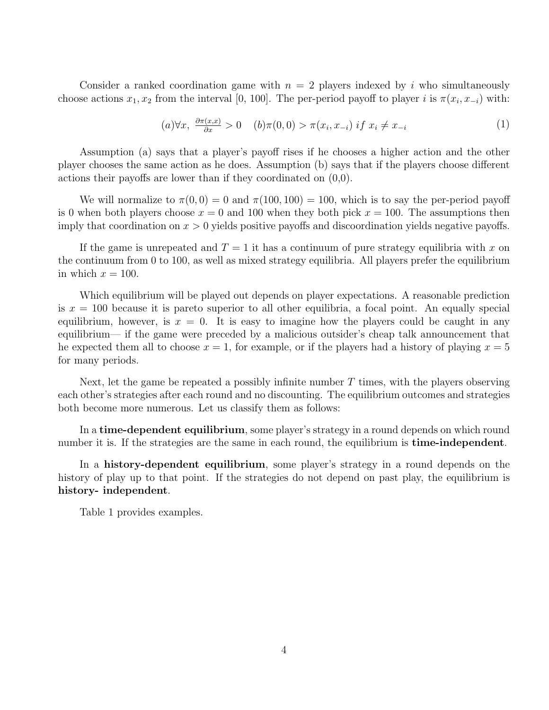Consider a ranked coordination game with  $n = 2$  players indexed by i who simultaneously choose actions  $x_1, x_2$  from the interval [0, 100]. The per-period payoff to player i is  $\pi(x_i, x_{-i})$  with:

$$
(a) \forall x, \ \frac{\partial \pi(x, x)}{\partial x} > 0 \quad (b) \pi(0, 0) > \pi(x_i, x_{-i}) \text{ if } x_i \neq x_{-i}
$$
 (1)

Assumption (a) says that a player's payoff rises if he chooses a higher action and the other player chooses the same action as he does. Assumption (b) says that if the players choose different actions their payoffs are lower than if they coordinated on (0,0).

We will normalize to  $\pi(0,0) = 0$  and  $\pi(100, 100) = 100$ , which is to say the per-period payoff is 0 when both players choose  $x = 0$  and 100 when they both pick  $x = 100$ . The assumptions then imply that coordination on  $x > 0$  yields positive payoffs and discoordination yields negative payoffs.

If the game is unrepeated and  $T = 1$  it has a continuum of pure strategy equilibria with x on the continuum from 0 to 100, as well as mixed strategy equilibria. All players prefer the equilibrium in which  $x = 100$ .

Which equilibrium will be played out depends on player expectations. A reasonable prediction is  $x = 100$  because it is pareto superior to all other equilibria, a focal point. An equally special equilibrium, however, is  $x = 0$ . It is easy to imagine how the players could be caught in any equilibrium— if the game were preceded by a malicious outsider's cheap talk announcement that he expected them all to choose  $x = 1$ , for example, or if the players had a history of playing  $x = 5$ for many periods.

Next, let the game be repeated a possibly infinite number  $T$  times, with the players observing each other's strategies after each round and no discounting. The equilibrium outcomes and strategies both become more numerous. Let us classify them as follows:

In a time-dependent equilibrium, some player's strategy in a round depends on which round number it is. If the strategies are the same in each round, the equilibrium is **time-independent**.

In a history-dependent equilibrium, some player's strategy in a round depends on the history of play up to that point. If the strategies do not depend on past play, the equilibrium is history- independent.

Table 1 provides examples.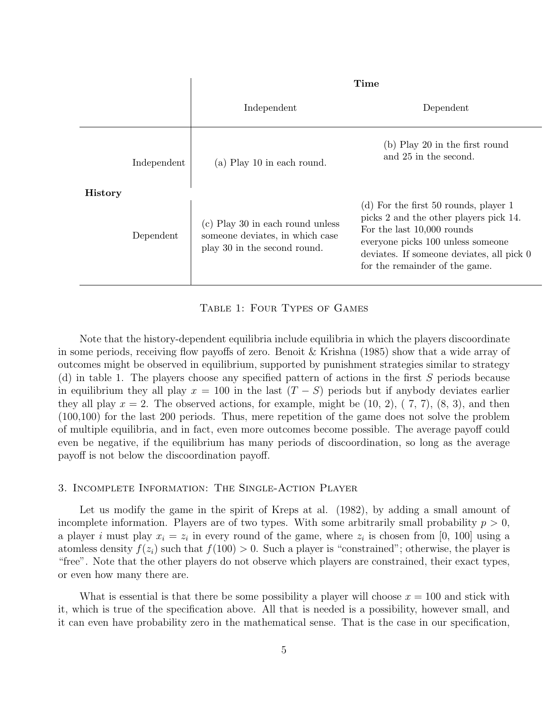|                |             | <b>Time</b>                                                                                         |                                                                                                                                                                                                                                     |
|----------------|-------------|-----------------------------------------------------------------------------------------------------|-------------------------------------------------------------------------------------------------------------------------------------------------------------------------------------------------------------------------------------|
|                |             | Independent                                                                                         | Dependent                                                                                                                                                                                                                           |
|                | Independent | (a) Play 10 in each round.                                                                          | (b) Play 20 in the first round<br>and 25 in the second.                                                                                                                                                                             |
| <b>History</b> | Dependent   | (c) Play 30 in each round unless<br>someone deviates, in which case<br>play 30 in the second round. | $(d)$ For the first 50 rounds, player 1<br>picks 2 and the other players pick 14.<br>For the last 10,000 rounds<br>everyone picks 100 unless someone<br>deviates. If someone deviates, all pick 0<br>for the remainder of the game. |

Table 1: Four Types of Games

Note that the history-dependent equilibria include equilibria in which the players discoordinate in some periods, receiving flow payoffs of zero. Benoit & Krishna (1985) show that a wide array of outcomes might be observed in equilibrium, supported by punishment strategies similar to strategy (d) in table 1. The players choose any specified pattern of actions in the first  $S$  periods because in equilibrium they all play  $x = 100$  in the last  $(T - S)$  periods but if anybody deviates earlier they all play  $x = 2$ . The observed actions, for example, might be  $(10, 2)$ ,  $(7, 7)$ ,  $(8, 3)$ , and then (100,100) for the last 200 periods. Thus, mere repetition of the game does not solve the problem of multiple equilibria, and in fact, even more outcomes become possible. The average payoff could even be negative, if the equilibrium has many periods of discoordination, so long as the average payoff is not below the discoordination payoff.

## 3. Incomplete Information: The Single-Action Player

Let us modify the game in the spirit of Kreps at al. (1982), by adding a small amount of incomplete information. Players are of two types. With some arbitrarily small probability  $p > 0$ , a player i must play  $x_i = z_i$  in every round of the game, where  $z_i$  is chosen from [0, 100] using a atomless density  $f(z_i)$  such that  $f(100) > 0$ . Such a player is "constrained"; otherwise, the player is "free". Note that the other players do not observe which players are constrained, their exact types, or even how many there are.

What is essential is that there be some possibility a player will choose  $x = 100$  and stick with it, which is true of the specification above. All that is needed is a possibility, however small, and it can even have probability zero in the mathematical sense. That is the case in our specification,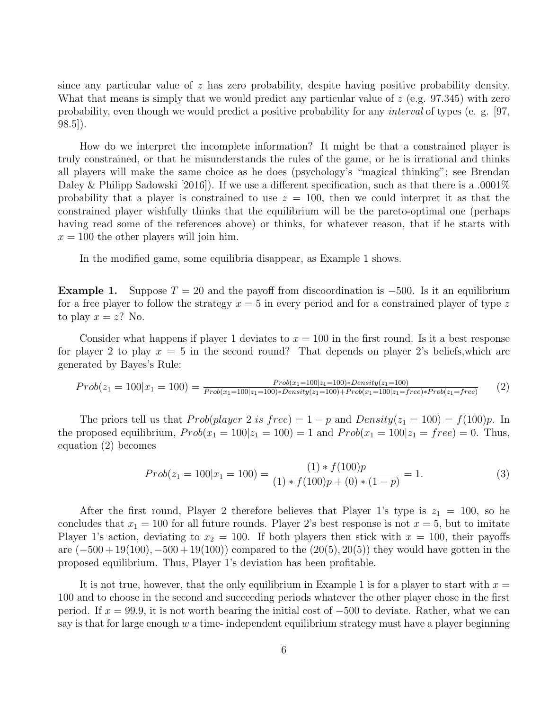since any particular value of  $z$  has zero probability, despite having positive probability density. What that means is simply that we would predict any particular value of  $z$  (e.g. 97.345) with zero probability, even though we would predict a positive probability for any interval of types (e. g. [97, 98.5]).

How do we interpret the incomplete information? It might be that a constrained player is truly constrained, or that he misunderstands the rules of the game, or he is irrational and thinks all players will make the same choice as he does (psychology's "magical thinking"; see Brendan Daley & Philipp Sadowski [2016]). If we use a different specification, such as that there is a .0001% probability that a player is constrained to use  $z = 100$ , then we could interpret it as that the constrained player wishfully thinks that the equilibrium will be the pareto-optimal one (perhaps having read some of the references above) or thinks, for whatever reason, that if he starts with  $x = 100$  the other players will join him.

In the modified game, some equilibria disappear, as Example 1 shows.

**Example 1.** Suppose  $T = 20$  and the payoff from discoordination is  $-500$ . Is it an equilibrium for a free player to follow the strategy  $x = 5$  in every period and for a constrained player of type z to play  $x = z$ ? No.

Consider what happens if player 1 deviates to  $x = 100$  in the first round. Is it a best response for player 2 to play  $x = 5$  in the second round? That depends on player 2's beliefs, which are generated by Bayes's Rule:

<span id="page-5-0"></span>
$$
Prob(z_1 = 100|x_1 = 100) = \frac{Prob(x_1 = 100|z_1 = 100) * Density(z_1 = 100)}{Prob(x_1 = 100|z_1 = 100) * Density(z_1 = 100) + Prob(x_1 = 100|z_1 = free) * Prob(z_1 = free)} \tag{2}
$$

The priors tell us that  $Prob(\text{player 2 is free}) = 1 - p$  and  $Density(z_1 = 100) = f(100)p$ . In the proposed equilibrium,  $Prob(x_1 = 100 | z_1 = 100) = 1$  and  $Prob(x_1 = 100 | z_1 = free) = 0$ . Thus, equation [\(2\)](#page-5-0) becomes

$$
Prob(z_1 = 100|x_1 = 100) = \frac{(1) * f(100)p}{(1) * f(100)p + (0) * (1 - p)} = 1.
$$
\n(3)

After the first round, Player 2 therefore believes that Player 1's type is  $z_1 = 100$ , so he concludes that  $x_1 = 100$  for all future rounds. Player 2's best response is not  $x = 5$ , but to imitate Player 1's action, deviating to  $x_2 = 100$ . If both players then stick with  $x = 100$ , their payoffs are  $(-500+19(100), -500+19(100))$  compared to the  $(20(5), 20(5))$  they would have gotten in the proposed equilibrium. Thus, Player 1's deviation has been profitable.

It is not true, however, that the only equilibrium in Example 1 is for a player to start with  $x =$ 100 and to choose in the second and succeeding periods whatever the other player chose in the first period. If  $x = 99.9$ , it is not worth bearing the initial cost of  $-500$  to deviate. Rather, what we can say is that for large enough  $w$  a time-independent equilibrium strategy must have a player beginning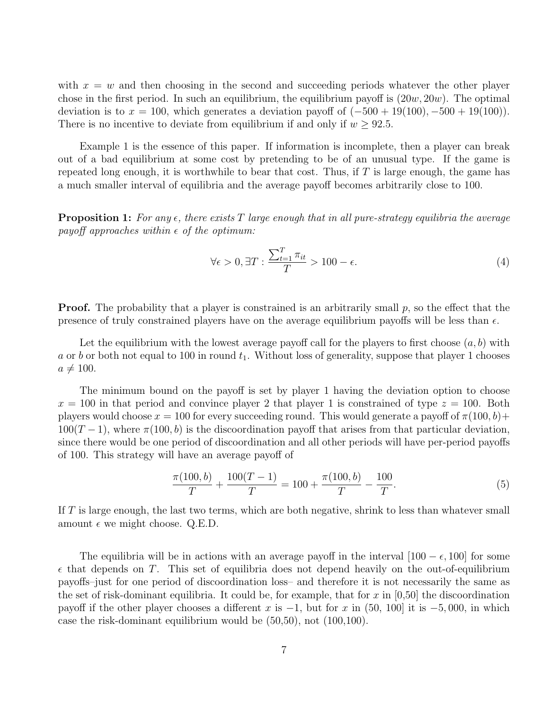with  $x = w$  and then choosing in the second and succeeding periods whatever the other player chose in the first period. In such an equilibrium, the equilibrium payoff is  $(20w, 20w)$ . The optimal deviation is to  $x = 100$ , which generates a deviation payoff of  $(-500 + 19(100), -500 + 19(100))$ . There is no incentive to deviate from equilibrium if and only if  $w \geq 92.5$ .

Example 1 is the essence of this paper. If information is incomplete, then a player can break out of a bad equilibrium at some cost by pretending to be of an unusual type. If the game is repeated long enough, it is worthwhile to bear that cost. Thus, if  $T$  is large enough, the game has a much smaller interval of equilibria and the average payoff becomes arbitrarily close to 100.

**Proposition 1:** For any  $\epsilon$ , there exists T large enough that in all pure-strategy equilibria the average payoff approaches within  $\epsilon$  of the optimum:

$$
\forall \epsilon > 0, \exists T : \frac{\sum_{t=1}^{T} \pi_{it}}{T} > 100 - \epsilon.
$$
 (4)

**Proof.** The probability that a player is constrained is an arbitrarily small  $p$ , so the effect that the presence of truly constrained players have on the average equilibrium payoffs will be less than  $\epsilon$ .

Let the equilibrium with the lowest average payoff call for the players to first choose  $(a, b)$  with a or b or both not equal to 100 in round  $t_1$ . Without loss of generality, suppose that player 1 chooses  $a \neq 100$ .

The minimum bound on the payoff is set by player 1 having the deviation option to choose  $x = 100$  in that period and convince player 2 that player 1 is constrained of type  $z = 100$ . Both players would choose  $x = 100$  for every succeeding round. This would generate a payoff of  $\pi(100, b)$ +  $100(T-1)$ , where  $\pi(100, b)$  is the discoordination payoff that arises from that particular deviation, since there would be one period of discoordination and all other periods will have per-period payoffs of 100. This strategy will have an average payoff of

$$
\frac{\pi(100,b)}{T} + \frac{100(T-1)}{T} = 100 + \frac{\pi(100,b)}{T} - \frac{100}{T}.
$$
\n(5)

If T is large enough, the last two terms, which are both negative, shrink to less than whatever small amount  $\epsilon$  we might choose. Q.E.D.

The equilibria will be in actions with an average payoff in the interval  $[100 - \epsilon, 100]$  for some  $\epsilon$  that depends on T. This set of equilibria does not depend heavily on the out-of-equilibrium payoffs–just for one period of discoordination loss– and therefore it is not necessarily the same as the set of risk-dominant equilibria. It could be, for example, that for x in  $[0,50]$  the discoordination payoff if the other player chooses a different x is  $-1$ , but for x in (50, 100) it is  $-5,000$ , in which case the risk-dominant equilibrium would be (50,50), not (100,100).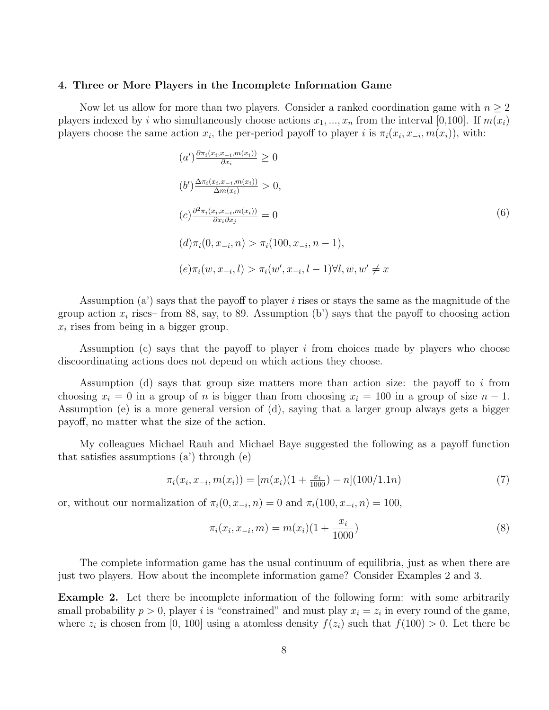#### 4. Three or More Players in the Incomplete Information Game

Now let us allow for more than two players. Consider a ranked coordination game with  $n \geq 2$ players indexed by i who simultaneously choose actions  $x_1, ..., x_n$  from the interval [0,100]. If  $m(x_i)$ players choose the same action  $x_i$ , the per-period payoff to player i is  $\pi_i(x_i, x_{-i}, m(x_i))$ , with:

$$
(a')\frac{\partial \pi_i(x_i, x_{-i}, m(x_i))}{\partial x_i} \ge 0
$$
  
\n
$$
(b')\frac{\Delta \pi_i(x_i, x_{-i}, m(x_i))}{\Delta m(x_i)} > 0,
$$
  
\n
$$
(c)\frac{\partial^2 \pi_i(x_i, x_{-i}, m(x_i))}{\partial x_i \partial x_j} = 0
$$
  
\n
$$
(d)\pi_i(0, x_{-i}, n) > \pi_i(100, x_{-i}, n - 1),
$$
  
\n
$$
(e)\pi_i(w, x_{-i}, l) > \pi_i(w', x_{-i}, l - 1) \forall l, w, w' \ne x
$$
 (6)

Assumption (a') says that the payoff to player i rises or stays the same as the magnitude of the group action  $x_i$  rises– from 88, say, to 89. Assumption (b') says that the payoff to choosing action  $x_i$  rises from being in a bigger group.

Assumption (c) says that the payoff to player  $i$  from choices made by players who choose discoordinating actions does not depend on which actions they choose.

Assumption (d) says that group size matters more than action size: the payoff to i from choosing  $x_i = 0$  in a group of n is bigger than from choosing  $x_i = 100$  in a group of size  $n - 1$ . Assumption (e) is a more general version of (d), saying that a larger group always gets a bigger payoff, no matter what the size of the action.

My colleagues Michael Rauh and Michael Baye suggested the following as a payoff function that satisfies assumptions (a') through (e)

$$
\pi_i(x_i, x_{-i}, m(x_i)) = [m(x_i)(1 + \frac{x_i}{1000}) - n](100/1.1n)
$$
\n(7)

or, without our normalization of  $\pi_i(0, x_{-i}, n) = 0$  and  $\pi_i(100, x_{-i}, n) = 100$ ,

$$
\pi_i(x_i, x_{-i}, m) = m(x_i)(1 + \frac{x_i}{1000})
$$
\n(8)

The complete information game has the usual continuum of equilibria, just as when there are just two players. How about the incomplete information game? Consider Examples 2 and 3.

Example 2. Let there be incomplete information of the following form: with some arbitrarily small probability  $p > 0$ , player i is "constrained" and must play  $x_i = z_i$  in every round of the game, where  $z_i$  is chosen from [0, 100] using a atomless density  $f(z_i)$  such that  $f(100) > 0$ . Let there be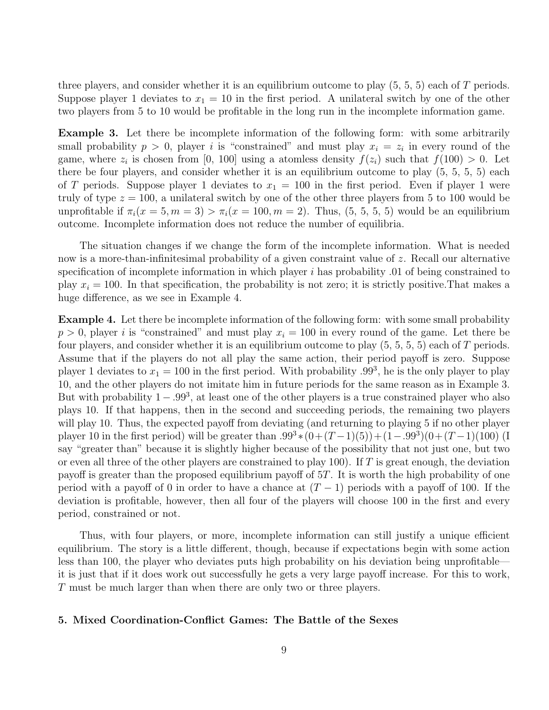three players, and consider whether it is an equilibrium outcome to play  $(5, 5, 5)$  each of T periods. Suppose player 1 deviates to  $x_1 = 10$  in the first period. A unilateral switch by one of the other two players from 5 to 10 would be profitable in the long run in the incomplete information game.

Example 3. Let there be incomplete information of the following form: with some arbitrarily small probability  $p > 0$ , player i is "constrained" and must play  $x_i = z_i$  in every round of the game, where  $z_i$  is chosen from [0, 100] using a atomless density  $f(z_i)$  such that  $f(100) > 0$ . Let there be four players, and consider whether it is an equilibrium outcome to play (5, 5, 5, 5) each of T periods. Suppose player 1 deviates to  $x_1 = 100$  in the first period. Even if player 1 were truly of type  $z = 100$ , a unilateral switch by one of the other three players from 5 to 100 would be unprofitable if  $\pi_i(x=5, m=3) > \pi_i(x=100, m=2)$ . Thus,  $(5, 5, 5, 5)$  would be an equilibrium outcome. Incomplete information does not reduce the number of equilibria.

The situation changes if we change the form of the incomplete information. What is needed now is a more-than-infinitesimal probability of a given constraint value of z. Recall our alternative specification of incomplete information in which player  $i$  has probability .01 of being constrained to play  $x_i = 100$ . In that specification, the probability is not zero; it is strictly positive. That makes a huge difference, as we see in Example 4.

Example 4. Let there be incomplete information of the following form: with some small probability  $p > 0$ , player i is "constrained" and must play  $x<sub>i</sub> = 100$  in every round of the game. Let there be four players, and consider whether it is an equilibrium outcome to play  $(5, 5, 5, 5)$  each of T periods. Assume that if the players do not all play the same action, their period payoff is zero. Suppose player 1 deviates to  $x_1 = 100$  in the first period. With probability .99<sup>3</sup>, he is the only player to play 10, and the other players do not imitate him in future periods for the same reason as in Example 3. But with probability  $1 - .99<sup>3</sup>$ , at least one of the other players is a true constrained player who also plays 10. If that happens, then in the second and succeeding periods, the remaining two players will play 10. Thus, the expected payoff from deviating (and returning to playing 5 if no other player player 10 in the first period) will be greater than  $.99^{3} * (0 + (T-1)(5)) + (1-.99^{3})(0 + (T-1)(100))$  (I say "greater than" because it is slightly higher because of the possibility that not just one, but two or even all three of the other players are constrained to play 100). If  $T$  is great enough, the deviation payoff is greater than the proposed equilibrium payoff of 5T. It is worth the high probability of one period with a payoff of 0 in order to have a chance at  $(T - 1)$  periods with a payoff of 100. If the deviation is profitable, however, then all four of the players will choose 100 in the first and every period, constrained or not.

Thus, with four players, or more, incomplete information can still justify a unique efficient equilibrium. The story is a little different, though, because if expectations begin with some action less than 100, the player who deviates puts high probability on his deviation being unprofitable it is just that if it does work out successfully he gets a very large payoff increase. For this to work, T must be much larger than when there are only two or three players.

## 5. Mixed Coordination-Conflict Games: The Battle of the Sexes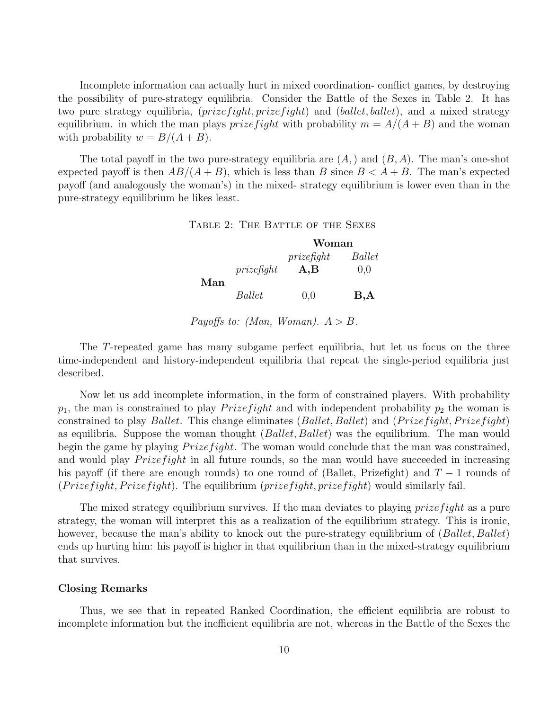Incomplete information can actually hurt in mixed coordination- conflict games, by destroying the possibility of pure-strategy equilibria. Consider the Battle of the Sexes in Table 2. It has two pure strategy equilibria,  $(prize fight, prize fight)$  and  $(ballet, ballet)$ , and a mixed strategy equilibrium. in which the man plays *prizefight* with probability  $m = A/(A + B)$  and the woman with probability  $w = B/(A + B)$ .

The total payoff in the two pure-strategy equilibria are  $(A)$  and  $(B, A)$ . The man's one-shot expected payoff is then  $AB/(A + B)$ , which is less than B since  $B < A + B$ . The man's expected payoff (and analogously the woman's) in the mixed- strategy equilibrium is lower even than in the pure-strategy equilibrium he likes least.

Table 2: The Battle of the Sexes

|     |               | Woman                   |        |
|-----|---------------|-------------------------|--------|
|     |               | $prize \hat{f}$         | Ballet |
| Man | prize f q h t | $\mathbf{A},\mathbf{B}$ | 0.0    |
|     | Ballet        | 0.0                     | B, A   |

Payoffs to: (Man, Woman).  $A > B$ .

The T-repeated game has many subgame perfect equilibria, but let us focus on the three time-independent and history-independent equilibria that repeat the single-period equilibria just described.

Now let us add incomplete information, in the form of constrained players. With probability  $p_1$ , the man is constrained to play *Prizefight* and with independent probability  $p_2$  the woman is constrained to play *Ballet*. This change eliminates (*Ballet*, *Ballet*) and (*Prizefight*, *Prizefight*) as equilibria. Suppose the woman thought  $(Ballet, Ballet)$  was the equilibrium. The man would begin the game by playing  $P$ rize fight. The woman would conclude that the man was constrained, and would play  $P$ *rize fight* in all future rounds, so the man would have succeeded in increasing his payoff (if there are enough rounds) to one round of (Ballet, Prizefight) and  $T-1$  rounds of  $(P \text{rize} f \text{ight}, \text{Prize} f \text{ight})$ . The equilibrium  $(\text{prize} f \text{ight}, \text{prize} f \text{ight})$  would similarly fail.

The mixed strategy equilibrium survives. If the man deviates to playing *prizefight* as a pure strategy, the woman will interpret this as a realization of the equilibrium strategy. This is ironic, however, because the man's ability to knock out the pure-strategy equilibrium of (Ballet, Ballet) ends up hurting him: his payoff is higher in that equilibrium than in the mixed-strategy equilibrium that survives.

### Closing Remarks

Thus, we see that in repeated Ranked Coordination, the efficient equilibria are robust to incomplete information but the inefficient equilibria are not, whereas in the Battle of the Sexes the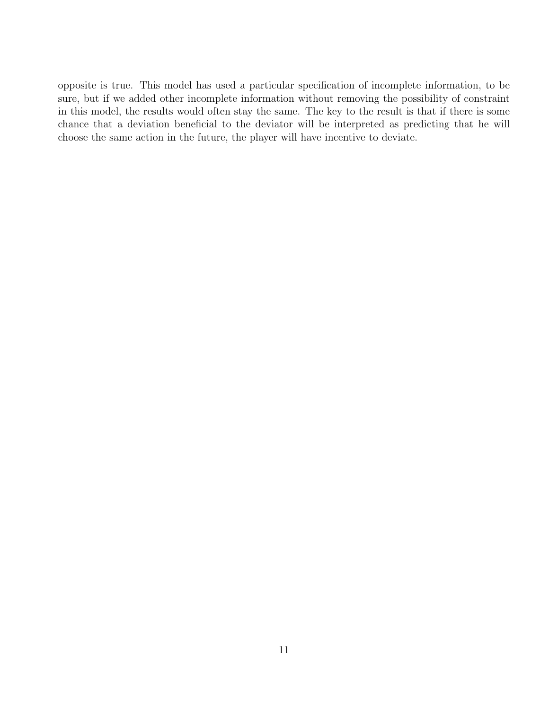opposite is true. This model has used a particular specification of incomplete information, to be sure, but if we added other incomplete information without removing the possibility of constraint in this model, the results would often stay the same. The key to the result is that if there is some chance that a deviation beneficial to the deviator will be interpreted as predicting that he will choose the same action in the future, the player will have incentive to deviate.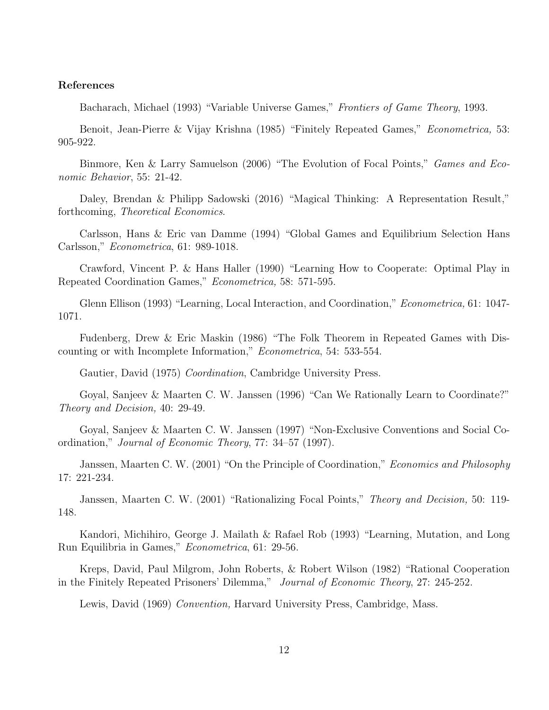## References

Bacharach, Michael (1993) "Variable Universe Games," Frontiers of Game Theory, 1993.

Benoit, Jean-Pierre & Vijay Krishna (1985) "Finitely Repeated Games," Econometrica, 53: 905-922.

Binmore, Ken & Larry Samuelson (2006) "The Evolution of Focal Points," Games and Economic Behavior, 55: 21-42.

Daley, Brendan & Philipp Sadowski (2016) "Magical Thinking: A Representation Result," forthcoming, Theoretical Economics.

Carlsson, Hans & Eric van Damme (1994) "Global Games and Equilibrium Selection Hans Carlsson," Econometrica, 61: 989-1018.

Crawford, Vincent P. & Hans Haller (1990) "Learning How to Cooperate: Optimal Play in Repeated Coordination Games," Econometrica, 58: 571-595.

Glenn Ellison (1993) "Learning, Local Interaction, and Coordination," Econometrica, 61: 1047- 1071.

Fudenberg, Drew & Eric Maskin (1986) "The Folk Theorem in Repeated Games with Discounting or with Incomplete Information," Econometrica, 54: 533-554.

Gautier, David (1975) *Coordination*, Cambridge University Press.

Goyal, Sanjeev & Maarten C. W. Janssen (1996) "Can We Rationally Learn to Coordinate?" Theory and Decision, 40: 29-49.

Goyal, Sanjeev & Maarten C. W. Janssen (1997) "Non-Exclusive Conventions and Social Coordination," Journal of Economic Theory, 77: 34–57 (1997).

Janssen, Maarten C. W. (2001) "On the Principle of Coordination," Economics and Philosophy 17: 221-234.

Janssen, Maarten C. W. (2001) "Rationalizing Focal Points," Theory and Decision, 50: 119- 148.

Kandori, Michihiro, George J. Mailath & Rafael Rob (1993) "Learning, Mutation, and Long Run Equilibria in Games," Econometrica, 61: 29-56.

Kreps, David, Paul Milgrom, John Roberts, & Robert Wilson (1982) "Rational Cooperation in the Finitely Repeated Prisoners' Dilemma," Journal of Economic Theory, 27: 245-252.

Lewis, David (1969) Convention, Harvard University Press, Cambridge, Mass.